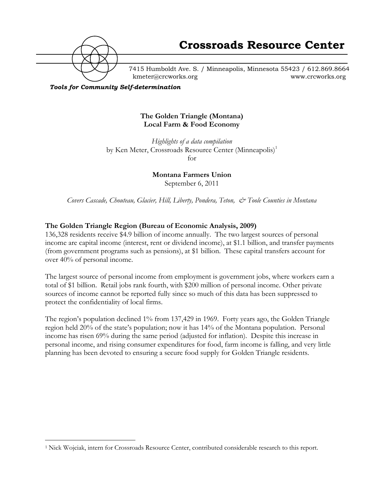

7415 Humboldt Ave. S. / Minneapolis, Minnesota 55423 / 612.869.8664 kmeter@crcworks.org www.crcworks.org

*Tools for Community Self-determination*

#### **The Golden Triangle (Montana) Local Farm & Food Economy**

*Highlights of a data compilation* by Ken Meter, Crossroads Resource Center (Minneapolis)<sup>1</sup> for

**Montana Farmers Union**

September 6, 2011

*Covers Cascade, Chouteau, Glacier, Hill, Liberty, Pondera, Teton, & Toole Counties in Montana*

# **The Golden Triangle Region (Bureau of Economic Analysis, 2009)**

136,328 residents receive \$4.9 billion of income annually. The two largest sources of personal income are capital income (interest, rent or dividend income), at \$1.1 billion, and transfer payments (from government programs such as pensions), at \$1 billion. These capital transfers account for over 40% of personal income.

The largest source of personal income from employment is government jobs, where workers earn a total of \$1 billion. Retail jobs rank fourth, with \$200 million of personal income. Other private sources of income cannot be reported fully since so much of this data has been suppressed to protect the confidentiality of local firms.

The region's population declined 1% from 137,429 in 1969. Forty years ago, the Golden Triangle region held 20% of the state's population; now it has 14% of the Montana population. Personal income has risen 69% during the same period (adjusted for inflation). Despite this increase in personal income, and rising consumer expenditures for food, farm income is falling, and very little planning has been devoted to ensuring a secure food supply for Golden Triangle residents.

 <sup>1</sup> Nick Wojciak, intern for Crossroads Resource Center, contributed considerable research to this report.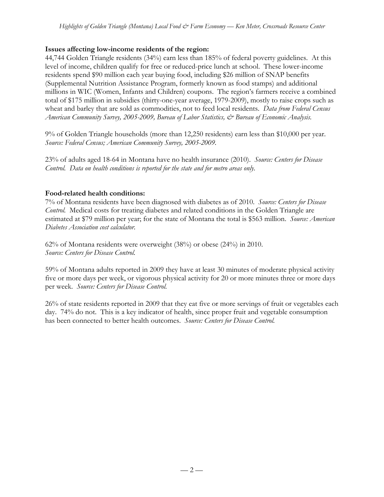### **Issues affecting low-income residents of the region:**

44,744 Golden Triangle residents (34%) earn less than 185% of federal poverty guidelines. At this level of income, children qualify for free or reduced-price lunch at school. These lower-income residents spend \$90 million each year buying food, including \$26 million of SNAP benefits (Supplemental Nutrition Assistance Program, formerly known as food stamps) and additional millions in WIC (Women, Infants and Children) coupons. The region's farmers receive a combined total of \$175 million in subsidies (thirty-one-year average, 1979-2009), mostly to raise crops such as wheat and barley that are sold as commodities, not to feed local residents. *Data from Federal Census American Community Survey, 2005-2009, Bureau of Labor Statistics, & Bureau of Economic Analysis.*

9% of Golden Triangle households (more than 12,250 residents) earn less than \$10,000 per year. *Source: Federal Census; American Community Survey, 2005-2009.*

23% of adults aged 18-64 in Montana have no health insurance (2010). *Source: Centers for Disease Control. Data on health conditions is reported for the state and for metro areas only.*

### **Food-related health conditions:**

7% of Montana residents have been diagnosed with diabetes as of 2010. *Source: Centers for Disease Control.* Medical costs for treating diabetes and related conditions in the Golden Triangle are estimated at \$79 million per year; for the state of Montana the total is \$563 million. *Source: American Diabetes Association cost calculator.*

62% of Montana residents were overweight (38%) or obese (24%) in 2010. *Source: Centers for Disease Control.*

59% of Montana adults reported in 2009 they have at least 30 minutes of moderate physical activity five or more days per week, or vigorous physical activity for 20 or more minutes three or more days per week. *Source: Centers for Disease Control.*

26% of state residents reported in 2009 that they eat five or more servings of fruit or vegetables each day. 74% do not. This is a key indicator of health, since proper fruit and vegetable consumption has been connected to better health outcomes. *Source: Centers for Disease Control.*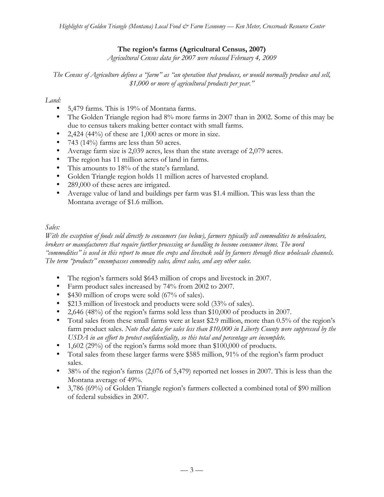# **The region's farms (Agricultural Census, 2007)**

*Agricultural Census data for 2007 were released February 4, 2009*

*The Census of Agriculture defines a "farm" as "an operation that produces, or would normally produce and sell, \$1,000 or more of agricultural products per year."*

### *Land:*

- 5,479 farms. This is 19% of Montana farms.
- The Golden Triangle region had 8% more farms in 2007 than in 2002. Some of this may be due to census takers making better contact with small farms.
- 2,424 (44%) of these are 1,000 acres or more in size.
- 743 (14%) farms are less than 50 acres.
- Average farm size is 2,039 acres, less than the state average of 2,079 acres.
- The region has 11 million acres of land in farms.
- This amounts to 18% of the state's farmland.
- Golden Triangle region holds 11 million acres of harvested cropland.
- 289,000 of these acres are irrigated.
- Average value of land and buildings per farm was \$1.4 million. This was less than the Montana average of \$1.6 million.

# *Sales:*

*With the exception of foods sold directly to consumers (see below), farmers typically sell commodities to wholesalers, brokers or manufacturers that require further processing or handling to become consumer items. The word "commodities" is used in this report to mean the crops and livestock sold by farmers through these wholesale channels. The term "products" encompasses commodity sales, direct sales, and any other sales.*

- The region's farmers sold \$643 million of crops and livestock in 2007.
- Farm product sales increased by 74% from 2002 to 2007.
- \$430 million of crops were sold (67% of sales).
- \$213 million of livestock and products were sold (33% of sales).
- 2,646 (48%) of the region's farms sold less than \$10,000 of products in 2007.
- Total sales from these small farms were at least \$2.9 million, more than 0.5% of the region's farm product sales. *Note that data for sales less than \$10,000 in Liberty County were suppressed by the USDA in an effort to protect confidentiality, so this total and percentage are incomplete.*
- 1,602 (29%) of the region's farms sold more than \$100,000 of products.
- Total sales from these larger farms were \$585 million, 91% of the region's farm product sales.
- 38% of the region's farms (2,076 of 5,479) reported net losses in 2007. This is less than the Montana average of 49%.
- 3,786 (69%) of Golden Triangle region's farmers collected a combined total of \$90 million of federal subsidies in 2007.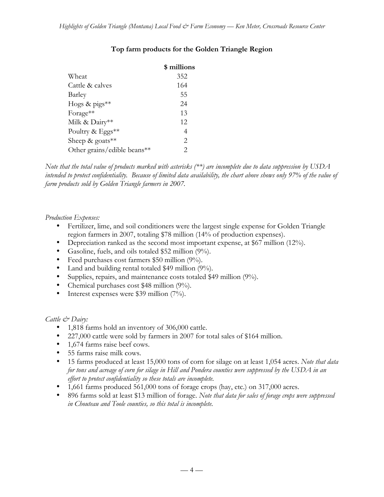|                             | \$ millions    |
|-----------------------------|----------------|
| Wheat                       | 352            |
| Cattle & calves             | 164            |
| Barley                      | 55             |
| Hogs & pigs**               | 24             |
| Forage**                    | 13             |
| Milk & Dairy**              | 12             |
| Poultry & Eggs**            | 4              |
| Sheep & goats $**$          | 2              |
| Other grains/edible beans** | $\mathfrak{D}$ |
|                             |                |

# **Top farm products for the Golden Triangle Region**

*Note that the total value of products marked with asterisks (\*\*) are incomplete due to data suppression by USDA intended to protect confidentiality. Because of limited data availability, the chart above shows only 97% of the value of farm products sold by Golden Triangle farmers in 2007.*

#### *Production Expenses:*

- Fertilizer, lime, and soil conditioners were the largest single expense for Golden Triangle region farmers in 2007, totaling \$78 million (14% of production expenses).
- Depreciation ranked as the second most important expense, at \$67 million (12%).
- Gasoline, fuels, and oils totaled \$52 million (9%).
- Feed purchases cost farmers \$50 million (9%).
- Land and building rental totaled \$49 million (9%).
- Supplies, repairs, and maintenance costs totaled \$49 million (9%).
- Chemical purchases cost \$48 million (9%).
- Interest expenses were \$39 million (7%).

#### *Cattle & Dairy:*

- 1,818 farms hold an inventory of 306,000 cattle.
- 227,000 cattle were sold by farmers in 2007 for total sales of \$164 million.
- 1,674 farms raise beef cows.
- 55 farms raise milk cows.
- 15 farms produced at least 15,000 tons of corn for silage on at least 1,054 acres. *Note that data for tons and acreage of corn for silage in Hill and Pondera counties were suppressed by the USDA in an effort to protect confidentiality so these totals are incomplete.*
- 1,661 farms produced 561,000 tons of forage crops (hay, etc.) on 317,000 acres.
- 896 farms sold at least \$13 million of forage. *Note that data for sales of forage crops were suppressed in Chouteau and Toole counties, so this total is incomplete.*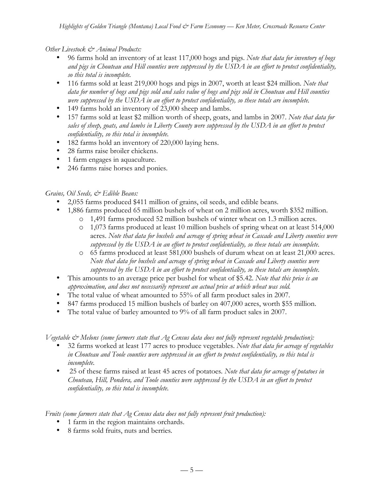#### *Other Livestock & Animal Products:*

- 96 farms hold an inventory of at least 117,000 hogs and pigs. *Note that data for inventory of hogs and pigs in Chouteau and Hill counties were suppressed by the USDA in an effort to protect confidentiality, so this total is incomplete.*
- 116 farms sold at least 219,000 hogs and pigs in 2007, worth at least \$24 million. *Note that data for number of hogs and pigs sold and sales value of hogs and pigs sold in Chouteau and Hill counties were suppressed by the USDA in an effort to protect confidentiality, so these totals are incomplete.*
- 149 farms hold an inventory of 23,000 sheep and lambs.
- 157 farms sold at least \$2 million worth of sheep, goats, and lambs in 2007. *Note that data for sales of sheep, goats, and lambs in Liberty County were suppressed by the USDA in an effort to protect confidentiality, so this total is incomplete.*
- 182 farms hold an inventory of 220,000 laying hens.
- 28 farms raise broiler chickens.
- 1 farm engages in aquaculture.
- 246 farms raise horses and ponies.

### *Grains, Oil Seeds, & Edible Beans:*

- 2,055 farms produced \$411 million of grains, oil seeds, and edible beans.
- 1,886 farms produced 65 million bushels of wheat on 2 million acres, worth \$352 million.
	- o 1,491 farms produced 52 million bushels of winter wheat on 1.3 million acres.
	- o 1,073 farms produced at least 10 million bushels of spring wheat on at least 514,000 acres. *Note that data for bushels and acreage of spring wheat in Cascade and Liberty counties were suppressed by the USDA in an effort to protect confidentiality, so these totals are incomplete.*
	- o 65 farms produced at least 581,000 bushels of durum wheat on at least 21,000 acres. *Note that data for bushels and acreage of spring wheat in Cascade and Liberty counties were suppressed by the USDA in an effort to protect confidentiality, so these totals are incomplete.*
- This amounts to an average price per bushel for wheat of \$5.42. *Note that this price is an approximation, and does not necessarily represent an actual price at which wheat was sold.*
- The total value of wheat amounted to 55% of all farm product sales in 2007.
- 847 farms produced 15 million bushels of barley on 407,000 acres, worth \$55 million.
- The total value of barley amounted to 9% of all farm product sales in 2007.

*Vegetable & Melons (some farmers state that Ag Census data does not fully represent vegetable production):*

- 32 farms worked at least 177 acres to produce vegetables. *Note that data for acreage of vegetables in Chouteau and Toole counties were suppressed in an effort to protect confidentiality, so this total is incomplete.*
- 25 of these farms raised at least 45 acres of potatoes*. Note that data for acreage of potatoes in Chouteau, Hill, Pondera, and Toole counties were suppressed by the USDA in an effort to protect confidentiality, so this total is incomplete.*

*Fruits (some farmers state that Ag Census data does not fully represent fruit production):*

- 1 farm in the region maintains orchards.
- 8 farms sold fruits, nuts and berries*.*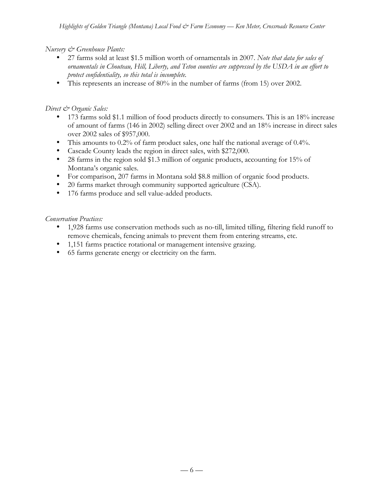### *Nursery & Greenhouse Plants:*

- 27 farms sold at least \$1.5 million worth of ornamentals in 2007. *Note that data for sales of ornamentals in Chouteau, Hill, Liberty, and Teton counties are suppressed by the USDA in an effort to protect confidentiality, so this total is incomplete.*
- This represents an increase of 80% in the number of farms (from 15) over 2002.

### *Direct & Organic Sales:*

- 173 farms sold \$1.1 million of food products directly to consumers. This is an 18% increase of amount of farms (146 in 2002) selling direct over 2002 and an 18% increase in direct sales over 2002 sales of \$957,000.
- This amounts to 0.2% of farm product sales, one half the national average of 0.4%.
- Cascade County leads the region in direct sales, with \$272,000.
- 28 farms in the region sold \$1.3 million of organic products, accounting for 15% of Montana's organic sales.
- For comparison, 207 farms in Montana sold \$8.8 million of organic food products.
- 20 farms market through community supported agriculture (CSA).
- 176 farms produce and sell value-added products.

#### *Conservation Practices:*

- 1,928 farms use conservation methods such as no-till, limited tilling, filtering field runoff to remove chemicals, fencing animals to prevent them from entering streams, etc.
- 1,151 farms practice rotational or management intensive grazing.
- 65 farms generate energy or electricity on the farm.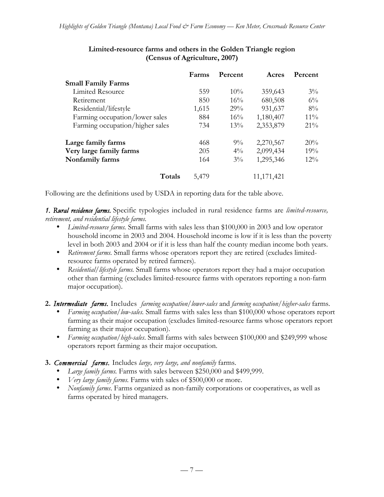|                                 | Farms | Percent | Acres        | Percent |
|---------------------------------|-------|---------|--------------|---------|
| <b>Small Family Farms</b>       |       |         |              |         |
| Limited Resource                | 559   | $10\%$  | 359,643      | $3\%$   |
| Retirement                      | 850   | 16%     | 680,508      | $6\%$   |
| Residential/lifestyle           | 1,615 | 29%     | 931,637      | $8\%$   |
| Farming occupation/lower sales  | 884   | $16\%$  | 1,180,407    | $11\%$  |
| Farming occupation/higher sales | 734   | $13\%$  | 2,353,879    | $21\%$  |
| Large family farms              | 468   | $9\%$   | 2,270,567    | 20%     |
| Very large family farms         | 205   | $4\%$   | 2,099,434    | 19%     |
| Nonfamily farms                 | 164   | $3\%$   | 1,295,346    | $12\%$  |
| Totals                          | 5,479 |         | 11, 171, 421 |         |

# **Limited-resource farms and others in the Golden Triangle region (Census of Agriculture, 2007)**

Following are the definitions used by USDA in reporting data for the table above.

*1. Rural residence farms.* Specific typologies included in rural residence farms are *limited-resource, retirement, and residential lifestyle farms.*

- *Limited-resource farms.* Small farms with sales less than \$100,000 in 2003 and low operator household income in 2003 and 2004. Household income is low if it is less than the poverty level in both 2003 and 2004 or if it is less than half the county median income both years.
- *Retirement farms.* Small farms whose operators report they are retired (excludes limitedresource farms operated by retired farmers).
- *Residential/lifestyle farms.* Small farms whose operators report they had a major occupation other than farming (excludes limited-resource farms with operators reporting a non-farm major occupation).

**2.** *Intermediate farms.* Includes *farming occupation/lower-sales* and *farming occupation/higher-sales* farms.

- *Farming occupation/low-sales.* Small farms with sales less than \$100,000 whose operators report farming as their major occupation (excludes limited-resource farms whose operators report farming as their major occupation).
- *Farming occupation/high-sales*. Small farms with sales between \$100,000 and \$249,999 whose operators report farming as their major occupation.

# **3.** *Commercial farms.* Includes *large, very large, and nonfamily* farms.

- *Large family farms.* Farms with sales between \$250,000 and \$499,999.
- *Very large family farms.* Farms with sales of \$500,000 or more.
- *Nonfamily farms*. Farms organized as non-family corporations or cooperatives, as well as farms operated by hired managers.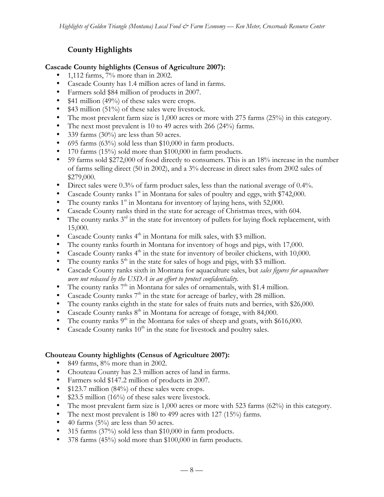# **County Highlights**

### **Cascade County highlights (Census of Agriculture 2007):**

- 1,112 farms, 7% more than in 2002.
- Cascade County has 1.4 million acres of land in farms.
- Farmers sold \$84 million of products in 2007.
- \$41 million (49%) of these sales were crops.
- \$43 million (51%) of these sales were livestock.
- The most prevalent farm size is  $1,000$  acres or more with 275 farms (25%) in this category.
- The next most prevalent is 10 to 49 acres with 266 (24%) farms.
- 339 farms (30%) are less than 50 acres.
- 695 farms (63%) sold less than \$10,000 in farm products.
- 170 farms (15%) sold more than \$100,000 in farm products.
- 59 farms sold \$272,000 of food directly to consumers. This is an 18% increase in the number of farms selling direct (50 in 2002), and a 3% decrease in direct sales from 2002 sales of \$279,000.
- Direct sales were 0.3% of farm product sales, less than the national average of 0.4%.
- Cascade County ranks  $1<sup>st</sup>$  in Montana for sales of poultry and eggs, with \$742,000.
- The county ranks  $1<sup>st</sup>$  in Montana for inventory of laying hens, with 52,000.
- Cascade County ranks third in the state for acreage of Christmas trees, with 604.
- The county ranks  $3<sup>rd</sup>$  in the state for inventory of pullets for laying flock replacement, with 15,000.
- Cascade County ranks  $4<sup>th</sup>$  in Montana for milk sales, with \$3 million.
- The county ranks fourth in Montana for inventory of hogs and pigs, with 17,000.
- Cascade County ranks  $4<sup>th</sup>$  in the state for inventory of broiler chickens, with 10,000.
- The county ranks  $5<sup>th</sup>$  in the state for sales of hogs and pigs, with \$3 million.
- Cascade County ranks sixth in Montana for aquaculture sales, but *sales figures for aquaculture were not released by the USDA in an effort to protect confidentiality.*
- The county ranks  $7<sup>th</sup>$  in Montana for sales of ornamentals, with \$1.4 million.
- Cascade County ranks  $7<sup>th</sup>$  in the state for acreage of barley, with 28 million.
- The county ranks eighth in the state for sales of fruits nuts and berries, with \$26,000.
- Cascade County ranks  $8<sup>th</sup>$  in Montana for acreage of forage, with 84,000.<br>• The county ranks  $9<sup>th</sup>$  in the Montana for sales of sheep and goats, with  $\$i$
- The county ranks  $9<sup>th</sup>$  in the Montana for sales of sheep and goats, with \$616,000.<br>• Cascade County ranks  $10<sup>th</sup>$  in the state for livestock and poultry sales
- Cascade County ranks  $10<sup>th</sup>$  in the state for livestock and poultry sales.

#### **Chouteau County highlights (Census of Agriculture 2007):**

- 849 farms, 8% more than in 2002.
- Chouteau County has 2.3 million acres of land in farms.
- Farmers sold \$147.2 million of products in 2007.
- \$123.7 million (84%) of these sales were crops.
- \$23.5 million (16%) of these sales were livestock.
- The most prevalent farm size is 1,000 acres or more with 523 farms (62%) in this category.
- The next most prevalent is 180 to 499 acres with 127 (15%) farms.
- 40 farms  $(5\%)$  are less than 50 acres.
- 315 farms (37%) sold less than \$10,000 in farm products.
- 378 farms (45%) sold more than \$100,000 in farm products.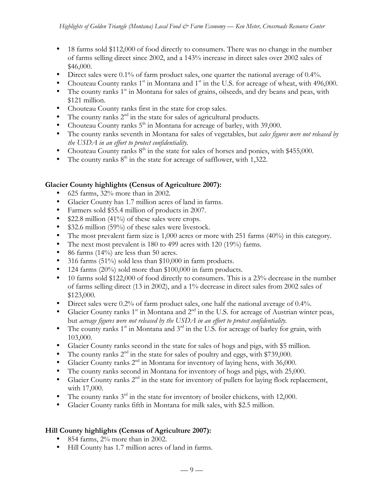- 18 farms sold \$112,000 of food directly to consumers. There was no change in the number of farms selling direct since 2002, and a 143% increase in direct sales over 2002 sales of \$46,000.
- Direct sales were 0.1% of farm product sales, one quarter the national average of 0.4%.
- Chouteau County ranks  $1<sup>st</sup>$  in Montana and  $1<sup>st</sup>$  in the U.S. for acreage of wheat, with 496,000.
- The county ranks  $1<sup>st</sup>$  in Montana for sales of grains, oilseeds, and dry beans and peas, with \$121 million.
- Chouteau County ranks first in the state for crop sales.
- The county ranks  $2<sup>nd</sup>$  in the state for sales of agricultural products.
- Chouteau County ranks  $5<sup>th</sup>$  in Montana for acreage of barley, with 39,000.
- The county ranks seventh in Montana for sales of vegetables, but *sales figures were not released by the USDA in an effort to protect confidentiality.*
- Chouteau County ranks  $8<sup>th</sup>$  in the state for sales of horses and ponies, with \$455,000.
- The county ranks  $8<sup>th</sup>$  in the state for acreage of safflower, with 1,322.

### **Glacier County highlights (Census of Agriculture 2007):**

- 625 farms, 32% more than in 2002.
- Glacier County has 1.7 million acres of land in farms.
- Farmers sold \$55.4 million of products in 2007.
- \$22.8 million (41%) of these sales were crops.
- \$32.6 million (59%) of these sales were livestock.
- The most prevalent farm size is 1,000 acres or more with 251 farms (40%) in this category.
- The next most prevalent is 180 to 499 acres with 120 (19%) farms.
- 86 farms  $(14\%)$  are less than 50 acres.
- 316 farms (51%) sold less than \$10,000 in farm products.
- 124 farms (20%) sold more than \$100,000 in farm products.
- 10 farms sold \$122,000 of food directly to consumers. This is a 23% decrease in the number of farms selling direct (13 in 2002), and a 1% decrease in direct sales from 2002 sales of \$123,000.
- Direct sales were 0.2% of farm product sales, one half the national average of 0.4%.
- Glacier County ranks  $1^{st}$  in Montana and  $2^{nd}$  in the U.S. for acreage of Austrian winter peas, but *acreage figures were not released by the USDA in an effort to protect confidentiality.*
- The county ranks  $1^{st}$  in Montana and  $3^{rd}$  in the U.S. for acreage of barley for grain, with 103,000.
- Glacier County ranks second in the state for sales of hogs and pigs, with \$5 million.
- The county ranks  $2<sup>nd</sup>$  in the state for sales of poultry and eggs, with \$739,000.
- Glacier County ranks  $2<sup>nd</sup>$  in Montana for inventory of laying hens, with 36,000.
- The county ranks second in Montana for inventory of hogs and pigs, with 25,000.
- Glacier County ranks  $2<sup>nd</sup>$  in the state for inventory of pullets for laying flock replacement, with 17,000.
- The county ranks  $3^{rd}$  in the state for inventory of broiler chickens, with 12,000.
- Glacier County ranks fifth in Montana for milk sales, with \$2.5 million.

#### **Hill County highlights (Census of Agriculture 2007):**

- 854 farms,  $2\%$  more than in 2002.
- Hill County has 1.7 million acres of land in farms.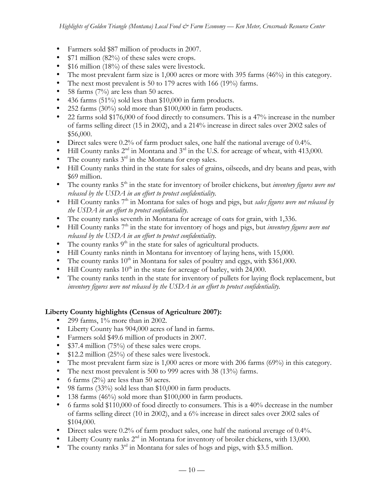- Farmers sold \$87 million of products in 2007.
- \$71 million (82%) of these sales were crops.
- \$16 million (18%) of these sales were livestock.
- The most prevalent farm size is 1,000 acres or more with 395 farms (46%) in this category.
- The next most prevalent is 50 to 179 acres with 166 (19%) farms.
- 58 farms  $(7%)$  are less than 50 acres.
- 436 farms (51%) sold less than \$10,000 in farm products.
- 252 farms (30%) sold more than \$100,000 in farm products.
- 22 farms sold \$176,000 of food directly to consumers. This is a 47% increase in the number of farms selling direct (15 in 2002), and a 214% increase in direct sales over 2002 sales of \$56,000.
- Direct sales were 0.2% of farm product sales, one half the national average of 0.4%.
- Hill County ranks  $2^{nd}$  in Montana and  $3^{rd}$  in the U.S. for acreage of wheat, with 413,000.
- The county ranks  $3<sup>rd</sup>$  in the Montana for crop sales.
- Hill County ranks third in the state for sales of grains, oilseeds, and dry beans and peas, with \$69 million.
- The county ranks 5<sup>th</sup> in the state for inventory of broiler chickens, but *inventory figures were not released by the USDA in an effort to protect confidentiality.*
- Hill County ranks 7<sup>th</sup> in Montana for sales of hogs and pigs, but *sales figures were not released by the USDA in an effort to protect confidentiality.*
- The county ranks seventh in Montana for acreage of oats for grain, with 1,336.
- Hill County ranks 7<sup>th</sup> in the state for inventory of hogs and pigs, but *inventory figures were not released by the USDA in an effort to protect confidentiality.*
- The county ranks  $9<sup>th</sup>$  in the state for sales of agricultural products.
- Hill County ranks ninth in Montana for inventory of laying hens, with 15,000.
- The county ranks  $10^{th}$  in Montana for sales of poultry and eggs, with \$361,000.
- Hill County ranks  $10^{th}$  in the state for acreage of barley, with 24,000.
- The county ranks tenth in the state for inventory of pullets for laying flock replacement, but *inventory figures were not released by the USDA in an effort to protect confidentiality.*

# **Liberty County highlights (Census of Agriculture 2007):**

- 299 farms, 1% more than in 2002.
- Liberty County has 904,000 acres of land in farms.
- Farmers sold \$49.6 million of products in 2007.
- \$37.4 million (75%) of these sales were crops.
- \$12.2 million (25%) of these sales were livestock.
- The most prevalent farm size is 1,000 acres or more with 206 farms (69%) in this category.
- The next most prevalent is 500 to 999 acres with 38 (13%) farms.
- 6 farms  $(2\%)$  are less than 50 acres.
- 98 farms (33%) sold less than \$10,000 in farm products.
- 138 farms (46%) sold more than \$100,000 in farm products.
- 6 farms sold \$110,000 of food directly to consumers. This is a 40% decrease in the number of farms selling direct (10 in 2002), and a 6% increase in direct sales over 2002 sales of \$104,000.
- Direct sales were 0.2% of farm product sales, one half the national average of 0.4%.
- Liberty County ranks 2<sup>nd</sup> in Montana for inventory of broiler chickens, with 13,000.
- The county ranks  $3<sup>rd</sup>$  in Montana for sales of hogs and pigs, with \$3.5 million.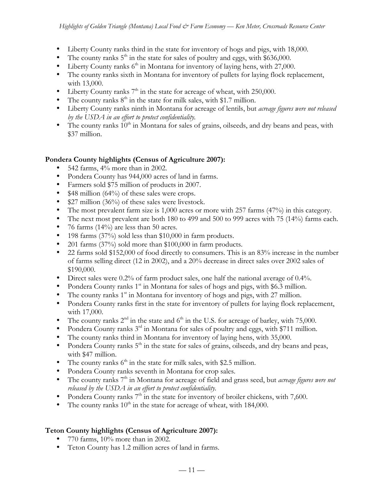- Liberty County ranks third in the state for inventory of hogs and pigs, with 18,000.
- The county ranks  $5<sup>th</sup>$  in the state for sales of poultry and eggs, with \$636,000.
- Liberty County ranks  $6<sup>th</sup>$  in Montana for inventory of laying hens, with 27,000.
- The county ranks sixth in Montana for inventory of pullets for laying flock replacement, with 13,000.
- Liberty County ranks  $7<sup>th</sup>$  in the state for acreage of wheat, with 250,000.
- The county ranks  $8<sup>th</sup>$  in the state for milk sales, with \$1.7 million.
- Liberty County ranks ninth in Montana for acreage of lentils, but *acreage figures were not released by the USDA in an effort to protect confidentiality.*
- The county ranks  $10<sup>th</sup>$  in Montana for sales of grains, oilseeds, and dry beans and peas, with \$37 million.

# **Pondera County highlights (Census of Agriculture 2007):**

- 542 farms, 4% more than in 2002.
- Pondera County has 944,000 acres of land in farms.
- Farmers sold \$75 million of products in 2007.
- \$48 million (64%) of these sales were crops.
- \$27 million (36%) of these sales were livestock.
- The most prevalent farm size is 1,000 acres or more with 257 farms (47%) in this category.
- The next most prevalent are both 180 to 499 and 500 to 999 acres with 75 (14%) farms each.
- 76 farms (14%) are less than 50 acres.
- 198 farms (37%) sold less than \$10,000 in farm products.
- 201 farms (37%) sold more than \$100,000 in farm products.
- 22 farms sold \$152,000 of food directly to consumers. This is an 83% increase in the number of farms selling direct (12 in 2002), and a 20% decrease in direct sales over 2002 sales of \$190,000.
- Direct sales were 0.2% of farm product sales, one half the national average of 0.4%.
- Pondera County ranks  $1<sup>st</sup>$  in Montana for sales of hogs and pigs, with \$6.3 million.
- The county ranks  $1<sup>st</sup>$  in Montana for inventory of hogs and pigs, with 27 million.
- Pondera County ranks first in the state for inventory of pullets for laying flock replacement, with 17,000.
- The county ranks  $2^{nd}$  in the state and  $6^{th}$  in the U.S. for acreage of barley, with 75,000.
- Pondera County ranks  $3^{rd}$  in Montana for sales of poultry and eggs, with \$711 million.
- The county ranks third in Montana for inventory of laying hens, with 35,000.
- Pondera County ranks  $5<sup>th</sup>$  in the state for sales of grains, oilseeds, and dry beans and peas, with \$47 million.
- The county ranks  $6<sup>th</sup>$  in the state for milk sales, with \$2.5 million.
- Pondera County ranks seventh in Montana for crop sales.
- The county ranks 7<sup>th</sup> in Montana for acreage of field and grass seed, but *acreage figures were not released by the USDA in an effort to protect confidentiality.*
- Pondera County ranks  $7<sup>th</sup>$  in the state for inventory of broiler chickens, with 7,600.
- The county ranks  $10^{th}$  in the state for acreage of wheat, with 184,000.

# **Teton County highlights (Census of Agriculture 2007):**

- 770 farms,  $10\%$  more than in 2002.
- Teton County has 1.2 million acres of land in farms.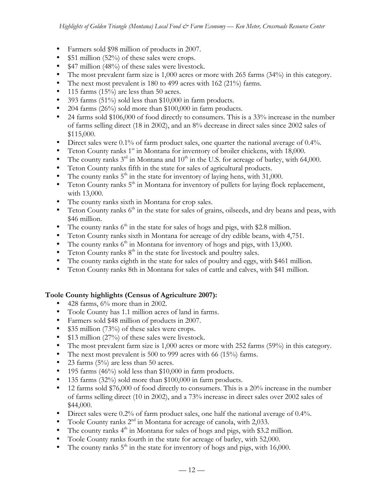- Farmers sold \$98 million of products in 2007.
- \$51 million (52%) of these sales were crops.
- \$47 million (48%) of these sales were livestock.
- The most prevalent farm size is 1,000 acres or more with 265 farms (34%) in this category.
- The next most prevalent is 180 to 499 acres with 162 (21%) farms.
- 115 farms (15%) are less than 50 acres.
- 393 farms (51%) sold less than \$10,000 in farm products.
- 204 farms (26%) sold more than \$100,000 in farm products.
- 24 farms sold \$106,000 of food directly to consumers. This is a 33% increase in the number of farms selling direct (18 in 2002), and an 8% decrease in direct sales since 2002 sales of \$115,000.
- Direct sales were 0.1% of farm product sales, one quarter the national average of 0.4%.
- Teton County ranks  $1<sup>st</sup>$  in Montana for inventory of broiler chickens, with 18,000.
- The county ranks  $3<sup>rd</sup>$  in Montana and  $10<sup>th</sup>$  in the U.S. for acreage of barley, with 64,000.
- Teton County ranks fifth in the state for sales of agricultural products.
- The county ranks  $5<sup>th</sup>$  in the state for inventory of laying hens, with 31,000.
- Teton County ranks  $5<sup>th</sup>$  in Montana for inventory of pullets for laying flock replacement, with 13,000.
- The county ranks sixth in Montana for crop sales.
- Teton County ranks  $6<sup>th</sup>$  in the state for sales of grains, oilseeds, and dry beans and peas, with \$46 million.
- The county ranks  $6<sup>th</sup>$  in the state for sales of hogs and pigs, with \$2.8 million.
- Teton County ranks sixth in Montana for acreage of dry edible beans, with 4,751.
- The county ranks  $6<sup>th</sup>$  in Montana for inventory of hogs and pigs, with 13,000.
- Teton County ranks  $8<sup>th</sup>$  in the state for livestock and poultry sales.
- The county ranks eighth in the state for sales of poultry and eggs, with \$461 million.
- Teton County ranks 8th in Montana for sales of cattle and calves, with \$41 million.

# **Toole County highlights (Census of Agriculture 2007):**

- 428 farms, 6% more than in 2002.
- Toole County has 1.1 million acres of land in farms.
- Farmers sold \$48 million of products in 2007.
- \$35 million (73%) of these sales were crops.
- \$13 million (27%) of these sales were livestock.
- The most prevalent farm size is 1,000 acres or more with 252 farms (59%) in this category.
- The next most prevalent is 500 to 999 acres with 66 (15%) farms.
- 23 farms (5%) are less than 50 acres.
- 195 farms (46%) sold less than \$10,000 in farm products.
- 135 farms (32%) sold more than \$100,000 in farm products.
- 12 farms sold \$76,000 of food directly to consumers. This is a 20% increase in the number of farms selling direct (10 in 2002), and a 73% increase in direct sales over 2002 sales of \$44,000.
- Direct sales were 0.2% of farm product sales, one half the national average of 0.4%.
- Toole County ranks 2<sup>nd</sup> in Montana for acreage of canola, with 2,033.
- The county ranks  $4<sup>th</sup>$  in Montana for sales of hogs and pigs, with \$3.2 million.
- Toole County ranks fourth in the state for acreage of barley, with 52,000.
- The county ranks  $5<sup>th</sup>$  in the state for inventory of hogs and pigs, with 16,000.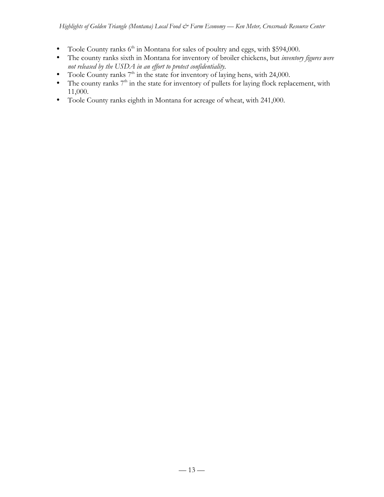- Toole County ranks  $6<sup>th</sup>$  in Montana for sales of poultry and eggs, with \$594,000.
- The county ranks sixth in Montana for inventory of broiler chickens, but *inventory figures were not released by the USDA in an effort to protect confidentiality.*
- Toole County ranks  $7<sup>th</sup>$  in the state for inventory of laying hens, with 24,000.
- The county ranks  $7<sup>th</sup>$  in the state for inventory of pullets for laying flock replacement, with 11,000.
- Toole County ranks eighth in Montana for acreage of wheat, with 241,000.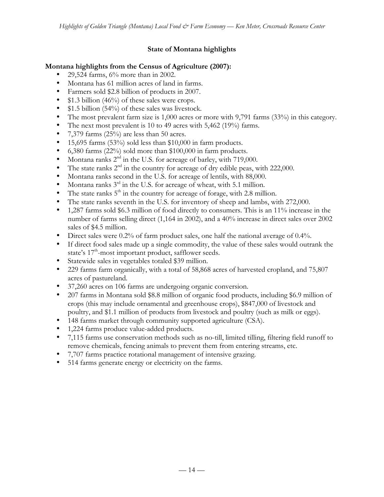# **State of Montana highlights**

### **Montana highlights from the Census of Agriculture (2007):**

- 29,524 farms, 6% more than in 2002.
- Montana has 61 million acres of land in farms.
- Farmers sold \$2.8 billion of products in 2007.
- \$1.3 billion (46%) of these sales were crops.
- \$1.5 billion (54%) of these sales was livestock.
- The most prevalent farm size is 1,000 acres or more with 9,791 farms (33%) in this category.
- The next most prevalent is 10 to 49 acres with 5,462 (19%) farms.
- 7,379 farms (25%) are less than 50 acres.
- 15,695 farms  $(53\%)$  sold less than \$10,000 in farm products.
- 6,380 farms (22%) sold more than \$100,000 in farm products.
- Montana ranks 2<sup>nd</sup> in the U.S. for acreage of barley, with 719,000.
- The state ranks  $2<sup>nd</sup>$  in the country for acreage of dry edible peas, with 222,000.
- Montana ranks second in the U.S. for acreage of lentils, with 88,000.
- Montana ranks  $3<sup>rd</sup>$  in the U.S. for acreage of wheat, with 5.1 million.
- The state ranks  $5<sup>th</sup>$  in the country for acreage of forage, with 2.8 million.
- The state ranks seventh in the U.S. for inventory of sheep and lambs, with 272,000.
- 1,287 farms sold \$6.3 million of food directly to consumers. This is an 11% increase in the number of farms selling direct (1,164 in 2002), and a 40% increase in direct sales over 2002 sales of \$4.5 million.
- Direct sales were 0.2% of farm product sales, one half the national average of 0.4%.
- If direct food sales made up a single commodity, the value of these sales would outrank the state's 17<sup>th</sup>-most important product, safflower seeds.
- Statewide sales in vegetables totaled \$39 million.
- 229 farms farm organically, with a total of 58,868 acres of harvested cropland, and 75,807 acres of pastureland.
- 37,260 acres on 106 farms are undergoing organic conversion.
- 207 farms in Montana sold \$8.8 million of organic food products, including \$6.9 million of crops (this may include ornamental and greenhouse crops), \$847,000 of livestock and poultry, and \$1.1 million of products from livestock and poultry (such as milk or eggs).
- 148 farms market through community supported agriculture (CSA).
- 1,224 farms produce value-added products.
- 7,115 farms use conservation methods such as no-till, limited tilling, filtering field runoff to remove chemicals, fencing animals to prevent them from entering streams, etc.
- 7,707 farms practice rotational management of intensive grazing.
- 514 farms generate energy or electricity on the farms.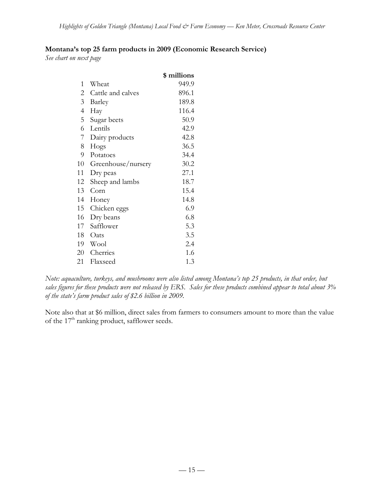# **Montana's top 25 farm products in 2009 (Economic Research Service)**

*See chart on next page*

|                |                    | \$ millions |
|----------------|--------------------|-------------|
| 1              | Wheat              | 949.9       |
| 2              | Cattle and calves  | 896.1       |
| 3              | Barley             | 189.8       |
| $\overline{4}$ | Hay                | 116.4       |
| 5              | Sugar beets        | 50.9        |
| 6              | Lentils            | 42.9        |
| 7              | Dairy products     | 42.8        |
| 8              | Hogs               | 36.5        |
| 9              | Potatoes           | 34.4        |
| 10             | Greenhouse/nursery | 30.2        |
| 11             | Dry peas           | 27.1        |
| 12             | Sheep and lambs    | 18.7        |
| 13             | Corn               | 15.4        |
| 14             | Honey              | 14.8        |
| 15             | Chicken eggs       | 6.9         |
| 16             | Dry beans          | 6.8         |
| 17             | Safflower          | 5.3         |
| 18             | Oats               | 3.5         |
| 19             | Wool               | 2.4         |
| 20             | Cherries           | 1.6         |
| 21             | Flaxseed           | 1.3         |

*Note: aquaculture, turkeys, and mushrooms were also listed among Montana's top 25 products, in that order, but sales figures for these products were not released by ERS. Sales for these products combined appear to total about 3% of the state's farm product sales of \$2.6 billion in 2009.*

Note also that at \$6 million, direct sales from farmers to consumers amount to more than the value of the  $17<sup>th</sup>$  ranking product, safflower seeds.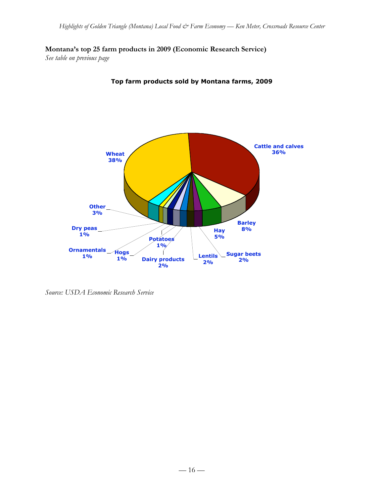**Montana's top 25 farm products in 2009 (Economic Research Service)**

*See table on previous page*



**Top farm products sold by Montana farms, 2009**

*Source: USDA Economic Research Service*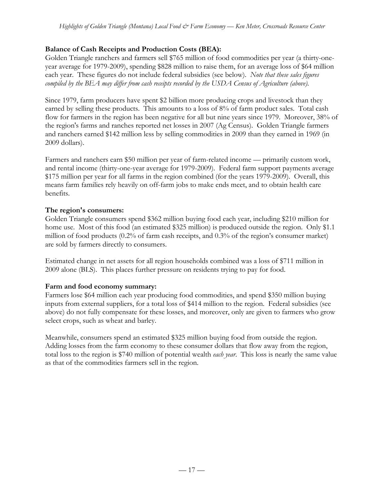# **Balance of Cash Receipts and Production Costs (BEA):**

Golden Triangle ranchers and farmers sell \$765 million of food commodities per year (a thirty-oneyear average for 1979-2009), spending \$828 million to raise them, for an average loss of \$64 million each year. These figures do not include federal subsidies (see below). *Note that these sales figures compiled by the BEA may differ from cash receipts recorded by the USDA Census of Agriculture (above).*

Since 1979, farm producers have spent \$2 billion more producing crops and livestock than they earned by selling these products. This amounts to a loss of 8% of farm product sales. Total cash flow for farmers in the region has been negative for all but nine years since 1979. Moreover, 38% of the region's farms and ranches reported net losses in 2007 (Ag Census). Golden Triangle farmers and ranchers earned \$142 million less by selling commodities in 2009 than they earned in 1969 (in 2009 dollars).

Farmers and ranchers earn \$50 million per year of farm-related income — primarily custom work, and rental income (thirty-one-year average for 1979-2009). Federal farm support payments average \$175 million per year for all farms in the region combined (for the years 1979-2009). Overall, this means farm families rely heavily on off-farm jobs to make ends meet, and to obtain health care benefits.

# **The region's consumers:**

Golden Triangle consumers spend \$362 million buying food each year, including \$210 million for home use. Most of this food (an estimated \$325 million) is produced outside the region. Only \$1.1 million of food products (0.2% of farm cash receipts, and 0.3% of the region's consumer market) are sold by farmers directly to consumers.

Estimated change in net assets for all region households combined was a loss of \$711 million in 2009 alone (BLS). This places further pressure on residents trying to pay for food.

# **Farm and food economy summary:**

Farmers lose \$64 million each year producing food commodities, and spend \$350 million buying inputs from external suppliers, for a total loss of \$414 million to the region. Federal subsidies (see above) do not fully compensate for these losses, and moreover, only are given to farmers who grow select crops, such as wheat and barley.

Meanwhile, consumers spend an estimated \$325 million buying food from outside the region. Adding losses from the farm economy to these consumer dollars that flow away from the region, total loss to the region is \$740 million of potential wealth *each year*. This loss is nearly the same value as that of the commodities farmers sell in the region.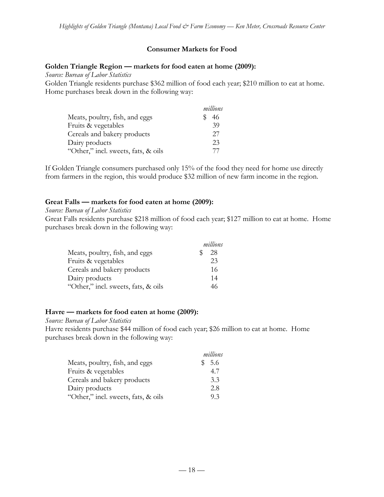#### **Consumer Markets for Food**

#### **Golden Triangle Region — markets for food eaten at home (2009):**

*Source: Bureau of Labor Statistics*

Golden Triangle residents purchase \$362 million of food each year; \$210 million to eat at home. Home purchases break down in the following way:

|                                     | millions |
|-------------------------------------|----------|
| Meats, poultry, fish, and eggs      | 46       |
| Fruits & vegetables                 | 39       |
| Cereals and bakery products         | 27       |
| Dairy products                      | 23       |
| "Other," incl. sweets, fats, & oils | 77       |

If Golden Triangle consumers purchased only 15% of the food they need for home use directly from farmers in the region, this would produce \$32 million of new farm income in the region.

#### **Great Falls — markets for food eaten at home (2009):**

#### *Source: Bureau of Labor Statistics*

Great Falls residents purchase \$218 million of food each year; \$127 million to eat at home. Home purchases break down in the following way:

|                                     | millions |
|-------------------------------------|----------|
| Meats, poultry, fish, and eggs      | 28       |
| Fruits & vegetables                 | 23       |
| Cereals and bakery products         | 16       |
| Dairy products                      | 14       |
| "Other," incl. sweets, fats, & oils | 46       |

#### **Havre — markets for food eaten at home (2009):**

*Source: Bureau of Labor Statistics*

Havre residents purchase \$44 million of food each year; \$26 million to eat at home. Home purchases break down in the following way:

|                                     | millions     |
|-------------------------------------|--------------|
| Meats, poultry, fish, and eggs      | - 5.6<br>\$. |
| Fruits & vegetables                 | 4.7          |
| Cereals and bakery products         | 3.3          |
| Dairy products                      | 2.8          |
| "Other," incl. sweets, fats, & oils | 93           |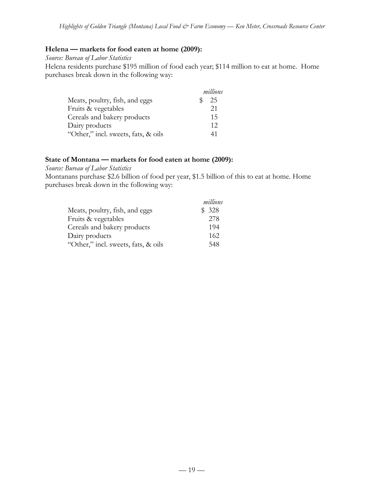#### **Helena — markets for food eaten at home (2009):**

*Source: Bureau of Labor Statistics*

Helena residents purchase \$195 million of food each year; \$114 million to eat at home. Home purchases break down in the following way:

|                                     | millions |
|-------------------------------------|----------|
| Meats, poultry, fish, and eggs      | 25       |
| Fruits & vegetables                 | 21       |
| Cereals and bakery products         | 15       |
| Dairy products                      | 12       |
| "Other," incl. sweets, fats, & oils | 41       |

#### **State of Montana — markets for food eaten at home (2009):**

*Source: Bureau of Labor Statistics*

Montanans purchase \$2.6 billion of food per year, \$1.5 billion of this to eat at home. Home purchases break down in the following way:

|                                     | millions |
|-------------------------------------|----------|
| Meats, poultry, fish, and eggs      | \$328    |
| Fruits & vegetables                 | 278      |
| Cereals and bakery products         | 194      |
| Dairy products                      | 162      |
| "Other," incl. sweets, fats, & oils | 548      |